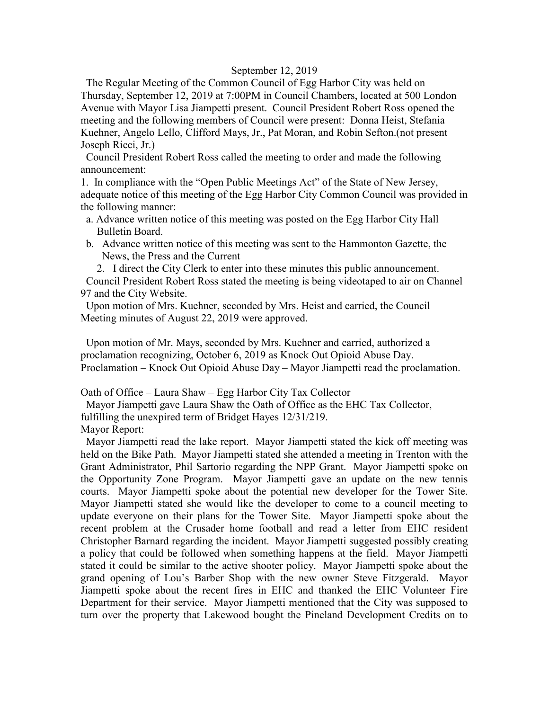#### September 12, 2019

 The Regular Meeting of the Common Council of Egg Harbor City was held on Thursday, September 12, 2019 at 7:00PM in Council Chambers, located at 500 London Avenue with Mayor Lisa Jiampetti present. Council President Robert Ross opened the meeting and the following members of Council were present: Donna Heist, Stefania Kuehner, Angelo Lello, Clifford Mays, Jr., Pat Moran, and Robin Sefton.(not present Joseph Ricci, Jr.)

 Council President Robert Ross called the meeting to order and made the following announcement:

1. In compliance with the "Open Public Meetings Act" of the State of New Jersey, adequate notice of this meeting of the Egg Harbor City Common Council was provided in the following manner:

- a. Advance written notice of this meeting was posted on the Egg Harbor City Hall Bulletin Board.
- b. Advance written notice of this meeting was sent to the Hammonton Gazette, the News, the Press and the Current

2. I direct the City Clerk to enter into these minutes this public announcement. Council President Robert Ross stated the meeting is being videotaped to air on Channel 97 and the City Website.

 Upon motion of Mrs. Kuehner, seconded by Mrs. Heist and carried, the Council Meeting minutes of August 22, 2019 were approved.

 Upon motion of Mr. Mays, seconded by Mrs. Kuehner and carried, authorized a proclamation recognizing, October 6, 2019 as Knock Out Opioid Abuse Day. Proclamation – Knock Out Opioid Abuse Day – Mayor Jiampetti read the proclamation.

Oath of Office – Laura Shaw – Egg Harbor City Tax Collector

 Mayor Jiampetti gave Laura Shaw the Oath of Office as the EHC Tax Collector, fulfilling the unexpired term of Bridget Hayes 12/31/219. Mayor Report:

 Mayor Jiampetti read the lake report. Mayor Jiampetti stated the kick off meeting was held on the Bike Path. Mayor Jiampetti stated she attended a meeting in Trenton with the Grant Administrator, Phil Sartorio regarding the NPP Grant. Mayor Jiampetti spoke on the Opportunity Zone Program. Mayor Jiampetti gave an update on the new tennis courts. Mayor Jiampetti spoke about the potential new developer for the Tower Site. Mayor Jiampetti stated she would like the developer to come to a council meeting to update everyone on their plans for the Tower Site. Mayor Jiampetti spoke about the recent problem at the Crusader home football and read a letter from EHC resident Christopher Barnard regarding the incident. Mayor Jiampetti suggested possibly creating a policy that could be followed when something happens at the field. Mayor Jiampetti stated it could be similar to the active shooter policy. Mayor Jiampetti spoke about the grand opening of Lou's Barber Shop with the new owner Steve Fitzgerald. Mayor Jiampetti spoke about the recent fires in EHC and thanked the EHC Volunteer Fire Department for their service. Mayor Jiampetti mentioned that the City was supposed to turn over the property that Lakewood bought the Pineland Development Credits on to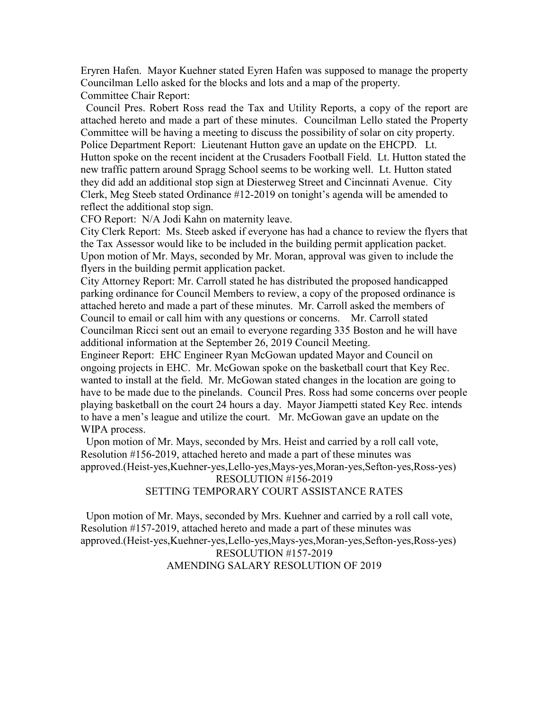Eryren Hafen. Mayor Kuehner stated Eyren Hafen was supposed to manage the property Councilman Lello asked for the blocks and lots and a map of the property. Committee Chair Report:

 Council Pres. Robert Ross read the Tax and Utility Reports, a copy of the report are attached hereto and made a part of these minutes. Councilman Lello stated the Property Committee will be having a meeting to discuss the possibility of solar on city property. Police Department Report: Lieutenant Hutton gave an update on the EHCPD. Lt. Hutton spoke on the recent incident at the Crusaders Football Field. Lt. Hutton stated the new traffic pattern around Spragg School seems to be working well. Lt. Hutton stated they did add an additional stop sign at Diesterweg Street and Cincinnati Avenue. City Clerk, Meg Steeb stated Ordinance #12-2019 on tonight's agenda will be amended to reflect the additional stop sign.

CFO Report: N/A Jodi Kahn on maternity leave.

City Clerk Report: Ms. Steeb asked if everyone has had a chance to review the flyers that the Tax Assessor would like to be included in the building permit application packet. Upon motion of Mr. Mays, seconded by Mr. Moran, approval was given to include the flyers in the building permit application packet.

City Attorney Report: Mr. Carroll stated he has distributed the proposed handicapped parking ordinance for Council Members to review, a copy of the proposed ordinance is attached hereto and made a part of these minutes. Mr. Carroll asked the members of Council to email or call him with any questions or concerns. Mr. Carroll stated Councilman Ricci sent out an email to everyone regarding 335 Boston and he will have additional information at the September 26, 2019 Council Meeting.

Engineer Report: EHC Engineer Ryan McGowan updated Mayor and Council on ongoing projects in EHC. Mr. McGowan spoke on the basketball court that Key Rec. wanted to install at the field. Mr. McGowan stated changes in the location are going to have to be made due to the pinelands. Council Pres. Ross had some concerns over people playing basketball on the court 24 hours a day. Mayor Jiampetti stated Key Rec. intends to have a men's league and utilize the court. Mr. McGowan gave an update on the WIPA process.

 Upon motion of Mr. Mays, seconded by Mrs. Heist and carried by a roll call vote, Resolution #156-2019, attached hereto and made a part of these minutes was approved.(Heist-yes,Kuehner-yes,Lello-yes,Mays-yes,Moran-yes,Sefton-yes,Ross-yes)

# RESOLUTION #156-2019

SETTING TEMPORARY COURT ASSISTANCE RATES

 Upon motion of Mr. Mays, seconded by Mrs. Kuehner and carried by a roll call vote, Resolution #157-2019, attached hereto and made a part of these minutes was approved.(Heist-yes,Kuehner-yes,Lello-yes,Mays-yes,Moran-yes,Sefton-yes,Ross-yes) RESOLUTION #157-2019 AMENDING SALARY RESOLUTION OF 2019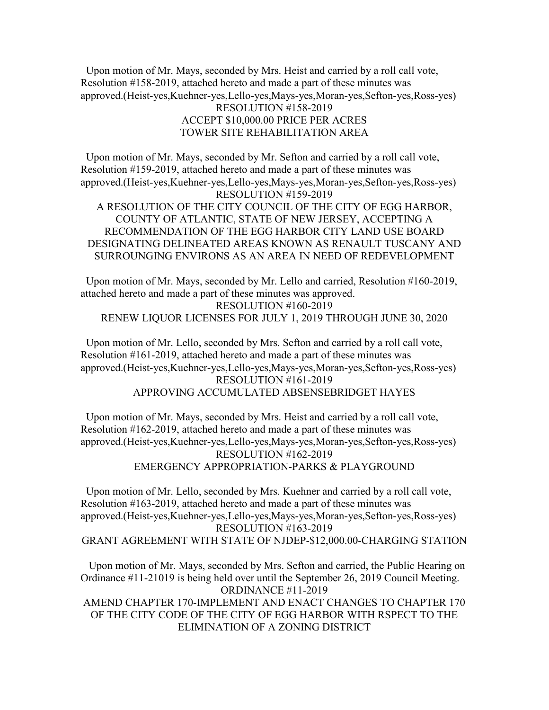Upon motion of Mr. Mays, seconded by Mrs. Heist and carried by a roll call vote, Resolution #158-2019, attached hereto and made a part of these minutes was approved.(Heist-yes,Kuehner-yes,Lello-yes,Mays-yes,Moran-yes,Sefton-yes,Ross-yes) RESOLUTION #158-2019 ACCEPT \$10,000.00 PRICE PER ACRES

## TOWER SITE REHABILITATION AREA

 Upon motion of Mr. Mays, seconded by Mr. Sefton and carried by a roll call vote, Resolution #159-2019, attached hereto and made a part of these minutes was approved.(Heist-yes,Kuehner-yes,Lello-yes,Mays-yes,Moran-yes,Sefton-yes,Ross-yes) RESOLUTION #159-2019 A RESOLUTION OF THE CITY COUNCIL OF THE CITY OF EGG HARBOR, COUNTY OF ATLANTIC, STATE OF NEW JERSEY, ACCEPTING A RECOMMENDATION OF THE EGG HARBOR CITY LAND USE BOARD

DESIGNATING DELINEATED AREAS KNOWN AS RENAULT TUSCANY AND SURROUNGING ENVIRONS AS AN AREA IN NEED OF REDEVELOPMENT

 Upon motion of Mr. Mays, seconded by Mr. Lello and carried, Resolution #160-2019, attached hereto and made a part of these minutes was approved. RESOLUTION #160-2019 RENEW LIQUOR LICENSES FOR JULY 1, 2019 THROUGH JUNE 30, 2020

 Upon motion of Mr. Lello, seconded by Mrs. Sefton and carried by a roll call vote, Resolution #161-2019, attached hereto and made a part of these minutes was approved.(Heist-yes,Kuehner-yes,Lello-yes,Mays-yes,Moran-yes,Sefton-yes,Ross-yes) RESOLUTION #161-2019 APPROVING ACCUMULATED ABSENSEBRIDGET HAYES

 Upon motion of Mr. Mays, seconded by Mrs. Heist and carried by a roll call vote, Resolution #162-2019, attached hereto and made a part of these minutes was approved.(Heist-yes,Kuehner-yes,Lello-yes,Mays-yes,Moran-yes,Sefton-yes,Ross-yes) RESOLUTION #162-2019 EMERGENCY APPROPRIATION-PARKS & PLAYGROUND

 Upon motion of Mr. Lello, seconded by Mrs. Kuehner and carried by a roll call vote, Resolution #163-2019, attached hereto and made a part of these minutes was approved.(Heist-yes,Kuehner-yes,Lello-yes,Mays-yes,Moran-yes,Sefton-yes,Ross-yes) RESOLUTION #163-2019 GRANT AGREEMENT WITH STATE OF NJDEP-\$12,000.00-CHARGING STATION

 Upon motion of Mr. Mays, seconded by Mrs. Sefton and carried, the Public Hearing on Ordinance #11-21019 is being held over until the September 26, 2019 Council Meeting. ORDINANCE #11-2019 AMEND CHAPTER 170-IMPLEMENT AND ENACT CHANGES TO CHAPTER 170 OF THE CITY CODE OF THE CITY OF EGG HARBOR WITH RSPECT TO THE ELIMINATION OF A ZONING DISTRICT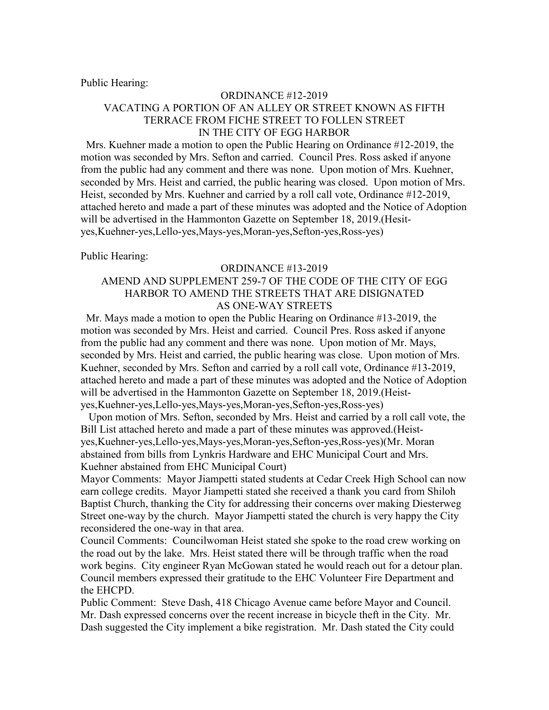Public Hearing:

### ORDINANCE #12-2019 VACATING A PORTION OF AN ALLEY OR STREET KNOWN AS FIFTH TERRACE FROM FICHE STREET TO FOLLEN STREET IN THE CITY OF EGG HARBOR

 Mrs. Kuehner made a motion to open the Public Hearing on Ordinance #12-2019, the motion was seconded by Mrs. Sefton and carried. Council Pres. Ross asked if anyone from the public had any comment and there was none. Upon motion of Mrs. Kuehner, seconded by Mrs. Heist and carried, the public hearing was closed. Upon motion of Mrs. Heist, seconded by Mrs. Kuehner and carried by a roll call vote, Ordinance #12-2019, attached hereto and made a part of these minutes was adopted and the Notice of Adoption will be advertised in the Hammonton Gazette on September 18, 2019.(Hesityes,Kuehner-yes,Lello-yes,Mays-yes,Moran-yes,Sefton-yes,Ross-yes)

Public Hearing:

### ORDINANCE #13-2019 AMEND AND SUPPLEMENT 259-7 OF THE CODE OF THE CITY OF EGG HARBOR TO AMEND THE STREETS THAT ARE DISIGNATED AS ONE-WAY STREETS

 Mr. Mays made a motion to open the Public Hearing on Ordinance #13-2019, the motion was seconded by Mrs. Heist and carried. Council Pres. Ross asked if anyone from the public had any comment and there was none. Upon motion of Mr. Mays, seconded by Mrs. Heist and carried, the public hearing was close. Upon motion of Mrs. Kuehner, seconded by Mrs. Sefton and carried by a roll call vote, Ordinance #13-2019, attached hereto and made a part of these minutes was adopted and the Notice of Adoption will be advertised in the Hammonton Gazette on September 18, 2019.(Heistyes,Kuehner-yes,Lello-yes,Mays-yes,Moran-yes,Sefton-yes,Ross-yes)

 Upon motion of Mrs. Sefton, seconded by Mrs. Heist and carried by a roll call vote, the Bill List attached hereto and made a part of these minutes was approved.(Heistyes,Kuehner-yes,Lello-yes,Mays-yes,Moran-yes,Sefton-yes,Ross-yes)(Mr. Moran abstained from bills from Lynkris Hardware and EHC Municipal Court and Mrs. Kuehner abstained from EHC Municipal Court)

Mayor Comments: Mayor Jiampetti stated students at Cedar Creek High School can now earn college credits. Mayor Jiampetti stated she received a thank you card from Shiloh Baptist Church, thanking the City for addressing their concerns over making Diesterweg Street one-way by the church. Mayor Jiampetti stated the church is very happy the City reconsidered the one-way in that area.

Council Comments: Councilwoman Heist stated she spoke to the road crew working on the road out by the lake. Mrs. Heist stated there will be through traffic when the road work begins. City engineer Ryan McGowan stated he would reach out for a detour plan. Council members expressed their gratitude to the EHC Volunteer Fire Department and the EHCPD.

Public Comment: Steve Dash, 418 Chicago Avenue came before Mayor and Council. Mr. Dash expressed concerns over the recent increase in bicycle theft in the City. Mr. Dash suggested the City implement a bike registration. Mr. Dash stated the City could